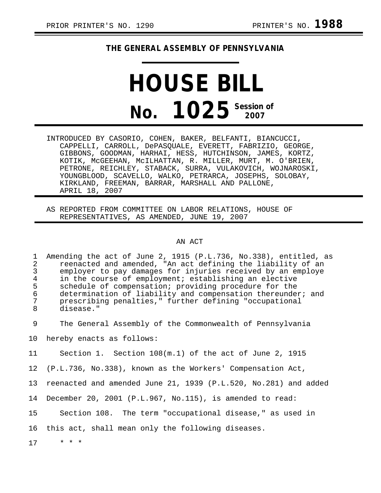## **THE GENERAL ASSEMBLY OF PENNSYLVANIA**

## **HOUSE BILL No. 1025** Session of

INTRODUCED BY CASORIO, COHEN, BAKER, BELFANTI, BIANCUCCI, CAPPELLI, CARROLL, DePASQUALE, EVERETT, FABRIZIO, GEORGE, GIBBONS, GOODMAN, HARHAI, HESS, HUTCHINSON, JAMES, KORTZ, KOTIK, McGEEHAN, McILHATTAN, R. MILLER, MURT, M. O'BRIEN, PETRONE, REICHLEY, STABACK, SURRA, VULAKOVICH, WOJNAROSKI, YOUNGBLOOD, SCAVELLO, WALKO, PETRARCA, JOSEPHS, SOLOBAY, KIRKLAND, FREEMAN, BARRAR, MARSHALL AND PALLONE, APRIL 18, 2007

AS REPORTED FROM COMMITTEE ON LABOR RELATIONS, HOUSE OF REPRESENTATIVES, AS AMENDED, JUNE 19, 2007

## AN ACT

1 Amending the act of June 2, 1915 (P.L.736, No.338), entitled, as<br>2 reenacted and amended, "An act defining the liability of an 2 reenacted and amended, "An act defining the liability of an 3 employer to pay damages for injuries received by an employe<br>4 in the course of employment; establishing an elective 4 in the course of employment; establishing an elective<br>5 schedule of compensation; providing procedure for the 5 schedule of compensation; providing procedure for the<br>6 determination of liability and compensation thereunde 6 determination of liability and compensation thereunder; and<br>7 mescribing penalties." further defining "occupational 7 prescribing penalties," further defining "occupational disease."

9 The General Assembly of the Commonwealth of Pennsylvania

10 hereby enacts as follows:

11 Section 1. Section 108(m.1) of the act of June 2, 1915

12 (P.L.736, No.338), known as the Workers' Compensation Act,

13 reenacted and amended June 21, 1939 (P.L.520, No.281) and added

14 December 20, 2001 (P.L.967, No.115), is amended to read:

15 Section 108. The term "occupational disease," as used in

16 this act, shall mean only the following diseases.

17 \* \* \*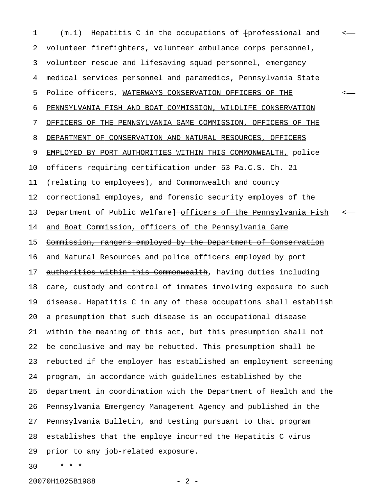1 (m.1) Hepatitis C in the occupations of  $f$ professional and 2 volunteer firefighters, volunteer ambulance corps personnel, 3 volunteer rescue and lifesaving squad personnel, emergency 4 medical services personnel and paramedics, Pennsylvania State 5 Police officers, WATERWAYS CONSERVATION OFFICERS OF THE  $\sim$ 6 PENNSYLVANIA FISH AND BOAT COMMISSION, WILDLIFE CONSERVATION 7 OFFICERS OF THE PENNSYLVANIA GAME COMMISSION, OFFICERS OF THE 8 DEPARTMENT OF CONSERVATION AND NATURAL RESOURCES, OFFICERS 9 EMPLOYED BY PORT AUTHORITIES WITHIN THIS COMMONWEALTH, police 10 officers requiring certification under 53 Pa.C.S. Ch. 21 11 (relating to employees), and Commonwealth and county 12 correctional employes, and forensic security employes of the 13 Department of Public Welfare + officers of the Pennsylvania Fish 14 and Boat Commission, officers of the Pennsylvania Game 15 Commission, rangers employed by the Department of Conservation 16 and Natural Resources and police officers employed by port 17 authorities within this Commonwealth, having duties including 18 care, custody and control of inmates involving exposure to such 19 disease. Hepatitis C in any of these occupations shall establish 20 a presumption that such disease is an occupational disease 21 within the meaning of this act, but this presumption shall not 22 be conclusive and may be rebutted. This presumption shall be 23 rebutted if the employer has established an employment screening 24 program, in accordance with guidelines established by the 25 department in coordination with the Department of Health and the 26 Pennsylvania Emergency Management Agency and published in the 27 Pennsylvania Bulletin, and testing pursuant to that program 28 establishes that the employe incurred the Hepatitis C virus 29 prior to any job-related exposure.

30 \* \* \*

20070H1025B1988 - 2 -